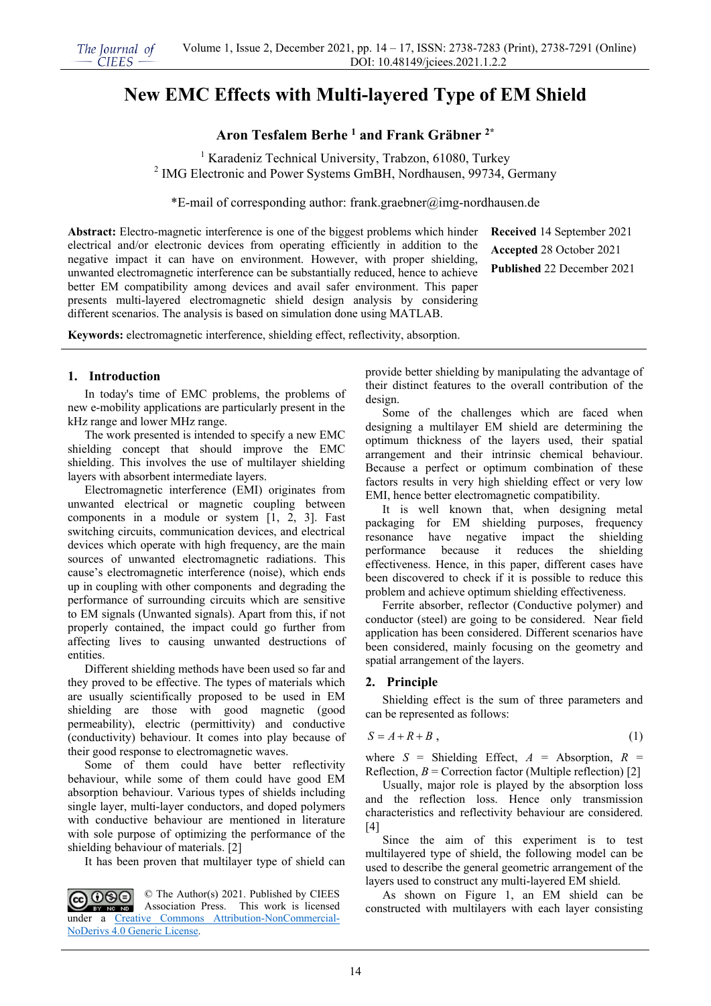# **New EMC Effects with Multi-layered Type of EM Shield**

**Aron Tesfalem Berhe 1 and Frank Gräbner 2\***

<sup>1</sup> Karadeniz Technical University, Trabzon, 61080, Turkey <sup>2</sup> IMG Electronic and Power Systems GmBH, Nordhausen, 99734, Germany

\*E-mail of corresponding author: frank.graebner@img-nordhausen.de

**Abstract:** Electro-magnetic interference is one of the biggest problems which hinder electrical and/or electronic devices from operating efficiently in addition to the negative impact it can have on environment. However, with proper shielding, unwanted electromagnetic interference can be substantially reduced, hence to achieve better EM compatibility among devices and avail safer environment. This paper presents multi-layered electromagnetic shield design analysis by considering different scenarios. The analysis is based on simulation done using MATLAB.

**Received** 14 September 2021 **Accepted** 28 October 2021 **Published** 22 December 2021

**Keywords:** electromagnetic interference, shielding effect, reflectivity, absorption.

### **1. Introduction**

In today's time of EMC problems, the problems of new e-mobility applications are particularly present in the kHz range and lower MHz range.

The work presented is intended to specify a new EMC shielding concept that should improve the EMC shielding. This involves the use of multilayer shielding layers with absorbent intermediate layers.

Electromagnetic interference (EMI) originates from unwanted electrical or magnetic coupling between components in a module or system [1, 2, 3]. Fast switching circuits, communication devices, and electrical devices which operate with high frequency, are the main sources of unwanted electromagnetic radiations. This cause's electromagnetic interference (noise), which ends up in coupling with other components and degrading the performance of surrounding circuits which are sensitive to EM signals (Unwanted signals). Apart from this, if not properly contained, the impact could go further from affecting lives to causing unwanted destructions of entities.

Different shielding methods have been used so far and they proved to be effective. The types of materials which are usually scientifically proposed to be used in EM shielding are those with good magnetic (good permeability), electric (permittivity) and conductive (conductivity) behaviour. It comes into play because of their good response to electromagnetic waves.

Some of them could have better reflectivity behaviour, while some of them could have good EM absorption behaviour. Various types of shields including single layer, multi-layer conductors, and doped polymers with conductive behaviour are mentioned in literature with sole purpose of optimizing the performance of the shielding behaviour of materials. [2]

It has been proven that multilayer type of shield can

CC OSO © The Author(s) 2021. Published by CIEES Association Press. This work is licensed BY NO ND under a [Creative Commons Attribution-NonCommercial-](https://creativecommons.org/licenses/by-nc-nd/4.0/)[NoDerivs 4.0 Generic License.](https://creativecommons.org/licenses/by-nc-nd/4.0/)

provide better shielding by manipulating the advantage of their distinct features to the overall contribution of the design.

Some of the challenges which are faced when designing a multilayer EM shield are determining the optimum thickness of the layers used, their spatial arrangement and their intrinsic chemical behaviour. Because a perfect or optimum combination of these factors results in very high shielding effect or very low EMI, hence better electromagnetic compatibility.

It is well known that, when designing metal packaging for EM shielding purposes, frequency resonance have negative impact the shielding performance because it reduces the shielding effectiveness. Hence, in this paper, different cases have been discovered to check if it is possible to reduce this problem and achieve optimum shielding effectiveness.

Ferrite absorber, reflector (Conductive polymer) and conductor (steel) are going to be considered. Near field application has been considered. Different scenarios have been considered, mainly focusing on the geometry and spatial arrangement of the layers.

## **2. Principle**

Shielding effect is the sum of three parameters and can be represented as follows:

$$
S = A + R + B \t{1}
$$

where  $S =$  Shielding Effect,  $A =$  Absorption,  $R =$ Reflection,  $B =$  Correction factor (Multiple reflection) [2]

Usually, major role is played by the absorption loss and the reflection loss. Hence only transmission characteristics and reflectivity behaviour are considered.  $[4]$ 

Since the aim of this experiment is to test multilayered type of shield, the following model can be used to describe the general geometric arrangement of the layers used to construct any multi-layered EM shield.

As shown on Figure 1, an EM shield can be constructed with multilayers with each layer consisting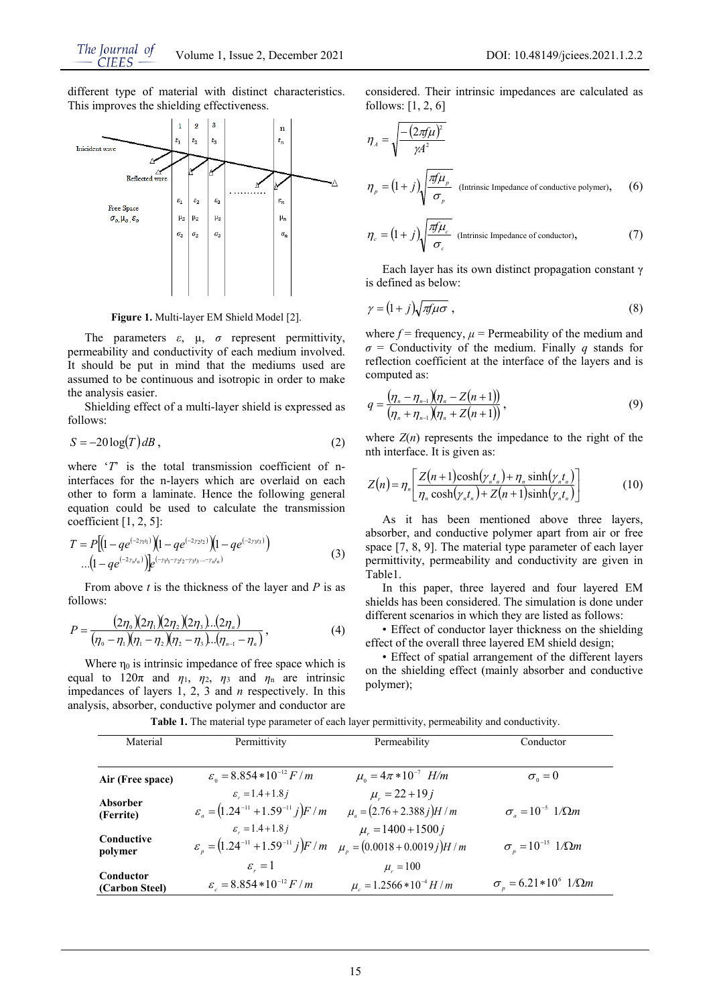different type of material with distinct characteristics. This improves the shielding effectiveness.



**Figure 1.** Multi-layer EM Shield Model [2].

The parameters  $\varepsilon$ ,  $\mu$ ,  $\sigma$  represent permittivity, permeability and conductivity of each medium involved. It should be put in mind that the mediums used are assumed to be continuous and isotropic in order to make the analysis easier.

Shielding effect of a multi-layer shield is expressed as follows:

$$
S = -20\log(T)dB,
$$
 (2)

where '*T*' is the total transmission coefficient of ninterfaces for the n-layers which are overlaid on each other to form a laminate. Hence the following general equation could be used to calculate the transmission coefficient  $[1, 2, 5]$ :

$$
T = P\left[\left(1 - q e^{(-2\gamma_1 t_1)}\right)\left(1 - q e^{(-2\gamma_2 t_2)}\right)\left(1 - q e^{(-2\gamma_3 t_3)}\right) \cdots \left(1 - q e^{(-2\gamma_n t_n)}\right)\right]e^{(-\gamma_1 t_1 - \gamma_2 t_2 - \gamma_3 t_3 \cdots - \gamma_n t_n)}\tag{3}
$$

From above *t* is the thickness of the layer and *P* is as follows:

$$
P = \frac{(2\eta_0)(2\eta_1)(2\eta_2)(2\eta_3)...(2\eta_n)}{(\eta_0 - \eta_1)(\eta_1 - \eta_2)(\eta_2 - \eta_3)...(\eta_{n-1} - \eta_n)},
$$
\n(4)

Where  $n_0$  is intrinsic impedance of free space which is equal to  $120\pi$  and  $\eta_1$ ,  $\eta_2$ ,  $\eta_3$  and  $\eta_n$  are intrinsic impedances of layers 1, 2, 3 and *n* respectively. In this analysis, absorber, conductive polymer and conductor are considered. Their intrinsic impedances are calculated as follows: [1, 2, 6]

$$
\eta_{A} = \sqrt{\frac{-\left(2\pi f\mu\right)^{2}}{\gamma A^{2}}}
$$
\n
$$
\eta_{p} = \left(1 + j\right) \sqrt{\frac{\pi f\mu_{p}}{\sigma_{p}}} \quad \text{(Intrinsic Impedance of conductive polymer)}, \qquad (6)
$$

$$
\eta_c = (1+j)\sqrt{\frac{\pi f \mu_c}{\sigma_c}}
$$
 (Intrinsic Impedance of conductor), (7)

Each layer has its own distinct propagation constant γ is defined as below:

$$
\gamma = (1+j)\sqrt{\pi \mu \sigma} \,,\tag{8}
$$

where  $f = \text{frequency}, \mu = \text{Permeability}$  of the medium and *σ* = Conductivity of the medium. Finally *q* stands for reflection coefficient at the interface of the layers and is computed as:

$$
q = \frac{(\eta_n - \eta_{n-1})(\eta_n - Z(n+1))}{(\eta_n + \eta_{n-1})(\eta_n + Z(n+1))},
$$
\n(9)

where  $Z(n)$  represents the impedance to the right of the nth interface. It is given as:

$$
Z(n) = \eta_n \left[ \frac{Z(n+1)\cosh(\gamma_n t_n) + \eta_n \sinh(\gamma_n t_n)}{\eta_n \cosh(\gamma_n t_n) + Z(n+1)\sinh(\gamma_n t_n)} \right]
$$
(10)

As it has been mentioned above three layers, absorber, and conductive polymer apart from air or free space [7, 8, 9]. The material type parameter of each layer permittivity, permeability and conductivity are given in Table1.

In this paper, three layered and four layered EM shields has been considered. The simulation is done under different scenarios in which they are listed as follows:

• Effect of conductor layer thickness on the shielding effect of the overall three layered EM shield design;

• Effect of spatial arrangement of the different layers on the shielding effect (mainly absorber and conductive polymer);

| Material                    | Permittivity                                                                      | Permeability                     | Conductor                                  |
|-----------------------------|-----------------------------------------------------------------------------------|----------------------------------|--------------------------------------------|
|                             |                                                                                   |                                  |                                            |
| Air (Free space)            | $\varepsilon_0 = 8.854 * 10^{-12} F/m$                                            | $\mu_{0} = 4\pi * 10^{-7}$ H/m   | $\sigma_{0}=0$                             |
| Absorber                    | $\varepsilon_{\rm c} = 1.4 + 1.8i$                                                | $\mu_z = 22 + 19j$               |                                            |
| (Ferrite)                   | $\varepsilon_a = (1.24^{-11} + 1.59^{-11} j)F/m$                                  | $\mu_a = (2.76 + 2.388 i)H/m$    | $\sigma_{\rm c} = 10^{-5}~1/\Omega m$      |
|                             | $\varepsilon_{\text{I}} = 1.4 + 1.8i$                                             | $\mu$ = 1400 + 1500 j            |                                            |
| Conductive<br>polymer       | $\varepsilon_n = (1.24^{-11} + 1.59^{-11} j)F/m$ $\mu_n = (0.0018 + 0.0019 j)H/m$ |                                  | $\sigma_{\rm n} = 10^{-15}~1/\Omega m$     |
|                             | $\mathcal{E}_{-}=1$                                                               | $\mu_{\rm m} = 100$              |                                            |
| Conductor<br>(Carbon Steel) | $\varepsilon_{\rm s} = 8.854*10^{-12} F/m$                                        | $\mu_{s} = 1.2566 * 10^{-4} H/m$ | $\sigma_{n} = 6.21 * 10^{6}$ 1/ $\Omega$ m |

**Table 1.** The material type parameter of each layer permittivity, permeability and conductivity.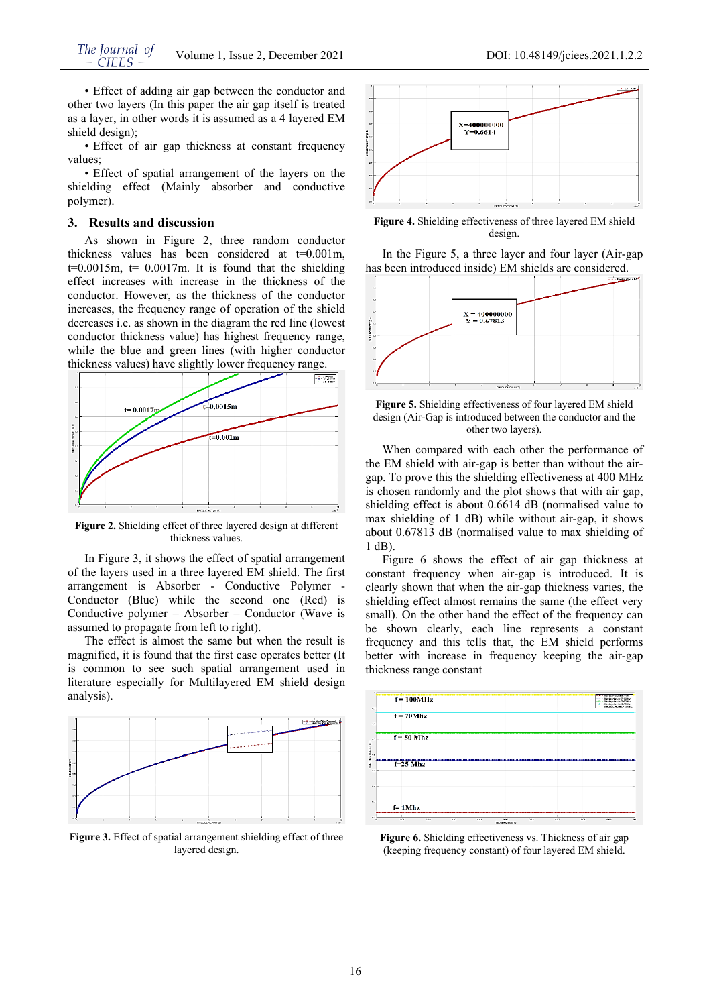• Effect of adding air gap between the conductor and other two layers (In this paper the air gap itself is treated as a layer, in other words it is assumed as a 4 layered EM shield design);

• Effect of air gap thickness at constant frequency values;

• Effect of spatial arrangement of the layers on the shielding effect (Mainly absorber and conductive polymer).

#### **3. Results and discussion**

As shown in Figure 2, three random conductor thickness values has been considered at  $t=0.001m$ ,  $t=0.0015m$ ,  $t= 0.0017m$ . It is found that the shielding effect increases with increase in the thickness of the conductor. However, as the thickness of the conductor increases, the frequency range of operation of the shield decreases i.e. as shown in the diagram the red line (lowest conductor thickness value) has highest frequency range, while the blue and green lines (with higher conductor thickness values) have slightly lower frequency range.



**Figure 2.** Shielding effect of three layered design at different thickness values.

In Figure 3, it shows the effect of spatial arrangement of the layers used in a three layered EM shield. The first arrangement is Absorber - Conductive Polymer - Conductor (Blue) while the second one (Red) is Conductive polymer – Absorber – Conductor (Wave is assumed to propagate from left to right).

The effect is almost the same but when the result is magnified, it is found that the first case operates better (It is common to see such spatial arrangement used in literature especially for Multilayered EM shield design analysis).



**Figure 3.** Effect of spatial arrangement shielding effect of three layered design.



**Figure 4.** Shielding effectiveness of three layered EM shield design.

In the Figure 5, a three layer and four layer (Air-gap has been introduced inside) EM shields are considered.



**Figure 5.** Shielding effectiveness of four layered EM shield design (Air-Gap is introduced between the conductor and the other two layers).

When compared with each other the performance of the EM shield with air-gap is better than without the airgap. To prove this the shielding effectiveness at 400 MHz is chosen randomly and the plot shows that with air gap, shielding effect is about 0.6614 dB (normalised value to max shielding of 1 dB) while without air-gap, it shows about 0.67813 dB (normalised value to max shielding of 1 dB).

Figure 6 shows the effect of air gap thickness at constant frequency when air-gap is introduced. It is clearly shown that when the air-gap thickness varies, the shielding effect almost remains the same (the effect very small). On the other hand the effect of the frequency can be shown clearly, each line represents a constant frequency and this tells that, the EM shield performs better with increase in frequency keeping the air-gap thickness range constant



**Figure 6.** Shielding effectiveness vs. Thickness of air gap (keeping frequency constant) of four layered EM shield.